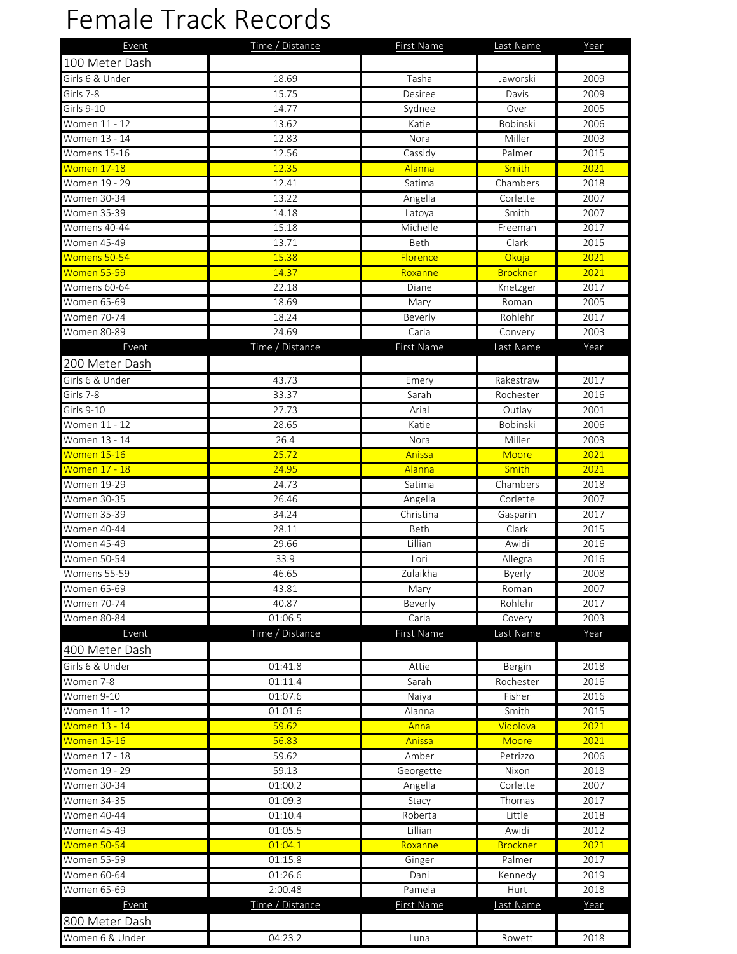## Female Track Records

| Event                | Time / Distance | First Name    | Last Name       | Year |
|----------------------|-----------------|---------------|-----------------|------|
| 100 Meter Dash       |                 |               |                 |      |
| Girls 6 & Under      | 18.69           | Tasha         | Jaworski        | 2009 |
| Girls 7-8            | 15.75           | Desiree       | Davis           | 2009 |
| Girls 9-10           | 14.77           | Sydnee        | Over            | 2005 |
| Women 11 - 12        | 13.62           | Katie         | Bobinski        | 2006 |
| Women 13 - 14        | 12.83           | Nora          | Miller          | 2003 |
| Womens 15-16         | 12.56           | Cassidy       | Palmer          | 2015 |
| Women 17-18          | 12.35           | Alanna        | Smith           | 2021 |
| Women 19 - 29        | 12.41           | Satima        | Chambers        | 2018 |
| <b>Women 30-34</b>   | 13.22           | Angella       | Corlette        | 2007 |
| <b>Women 35-39</b>   | 14.18           | Latoya        | Smith           | 2007 |
| Womens 40-44         | 15.18           | Michelle      | Freeman         | 2017 |
| <b>Women 45-49</b>   | 13.71           | <b>Beth</b>   | Clark           | 2015 |
| Womens 50-54         | 15.38           | Florence      | Okuja           | 2021 |
| Women 55-59          | 14.37           | Roxanne       | <b>Brockner</b> | 2021 |
| Womens 60-64         | 22.18           | Diane         | Knetzger        | 2017 |
| Women 65-69          | 18.69           | Mary          | Roman           | 2005 |
| <b>Women 70-74</b>   | 18.24           | Beverly       | Rohlehr         | 2017 |
| <b>Women 80-89</b>   | 24.69           | Carla         | Convery         | 2003 |
|                      | Time / Distance |               |                 |      |
| Event                |                 | First Name    | Last Name       | Year |
| 200 Meter Dash       |                 |               |                 |      |
| Girls 6 & Under      | 43.73           | Emery         | Rakestraw       | 2017 |
| Girls 7-8            | 33.37           | Sarah         | Rochester       | 2016 |
| Girls 9-10           | 27.73           | Arial         | Outlay          | 2001 |
| Women 11 - 12        | 28.65           | Katie         | Bobinski        | 2006 |
| Women 13 - 14        | 26.4            | Nora          | Miller          | 2003 |
| Women 15-16          | 25.72           | Anissa        | Moore           | 2021 |
| Women 17 - 18        | 24.95           | <b>Alanna</b> | Smith           | 2021 |
| <b>Women 19-29</b>   | 24.73           | Satima        | Chambers        | 2018 |
| <b>Women 30-35</b>   | 26.46           | Angella       | Corlette        | 2007 |
| <b>Women 35-39</b>   | 34.24           | Christina     | Gasparin        | 2017 |
| Women 40-44          | 28.11           | Beth          | Clark           | 2015 |
| Women 45-49          | 29.66           | Lillian       | Awidi           | 2016 |
| <b>Women 50-54</b>   | 33.9            | Lori          | Allegra         | 2016 |
| Womens 55-59         | 46.65           | Zulaikha      | Byerly          | 2008 |
| Women 65-69          | 43.81           | Mary          | Roman           | 2007 |
| Women 70-74          | 40.87           | Beverly       | Rohlehr         | 2017 |
| <b>Women 80-84</b>   | 01:06.5         | Carla         | Covery          | 2003 |
| Event                | Time / Distance | First Name    | Last Name       | Year |
| 400 Meter Dash       |                 |               |                 |      |
| Girls 6 & Under      | 01:41.8         | Attie         | Bergin          | 2018 |
| Women 7-8            | 01:11.4         | Sarah         | Rochester       | 2016 |
| Women 9-10           | 01:07.6         | Naiya         | Fisher          | 2016 |
| Women 11 - 12        | 01:01.6         | Alanna        | Smith           | 2015 |
| <b>Women 13 - 14</b> | 59.62           | Anna          | Vidolova        | 2021 |
| <b>Women 15-16</b>   | 56.83           | Anissa        | Moore           | 2021 |
| Women 17 - 18        | 59.62           | Amber         | Petrizzo        | 2006 |
| Women 19 - 29        | 59.13           | Georgette     | Nixon           | 2018 |
| Women 30-34          | 01:00.2         | Angella       | Corlette        | 2007 |
| Women 34-35          | 01:09.3         | Stacy         | Thomas          | 2017 |
| <b>Women 40-44</b>   | 01:10.4         | Roberta       | Little          | 2018 |
| Women 45-49          | 01:05.5         | Lillian       | Awidi           | 2012 |
| Women 50-54          | 01:04.1         | Roxanne       | <b>Brockner</b> | 2021 |
| Women 55-59          | 01:15.8         | Ginger        | Palmer          | 2017 |
| Women 60-64          | 01:26.6         | Dani          | Kennedy         | 2019 |
| Women 65-69          | 2:00.48         | Pamela        | Hurt            | 2018 |
| Event                | Time / Distance | First Name    | Last Name       | Year |
| 800 Meter Dash       |                 |               |                 |      |
|                      |                 |               |                 |      |
| Women 6 & Under      | 04:23.2         | Luna          | Rowett          | 2018 |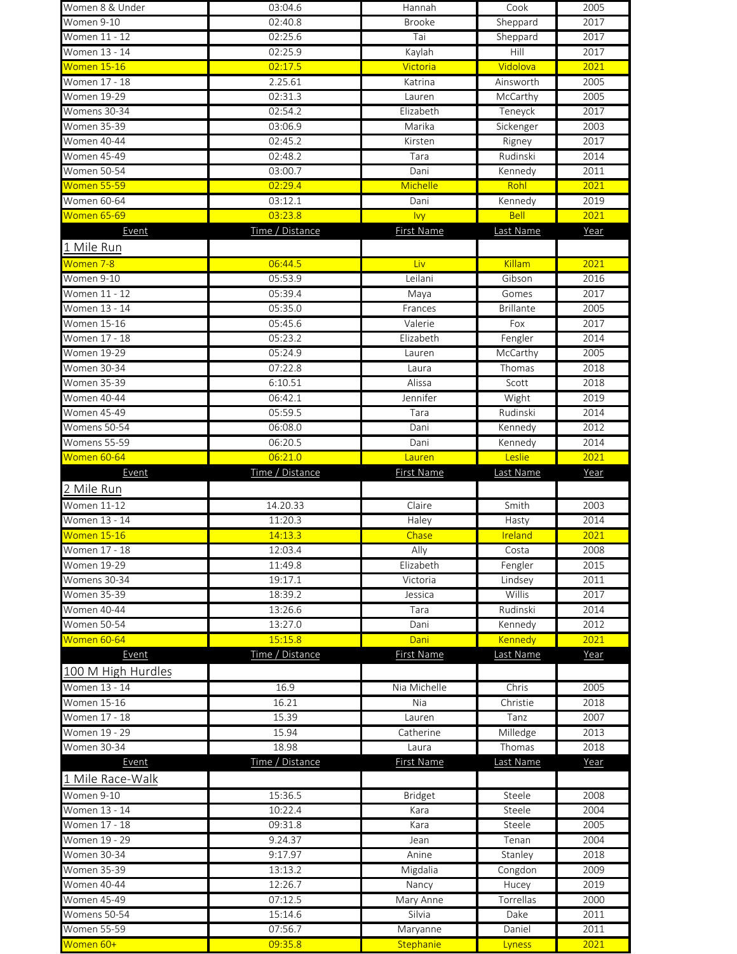|                    | 03:04.6            | Hannah            | Cook             | 2005         |
|--------------------|--------------------|-------------------|------------------|--------------|
| Women 9-10         | 02:40.8            | <b>Brooke</b>     | Sheppard         | 2017         |
| Women 11 - 12      | 02:25.6            | Tai               | Sheppard         | 2017         |
| Women 13 - 14      | 02:25.9            | Kaylah            | Hill             | 2017         |
| Women 15-16        | 02:17.5            | Victoria          | Vidolova         | 2021         |
| Women 17 - 18      | 2.25.61            | Katrina           | Ainsworth        | 2005         |
| Women 19-29        | 02:31.3            | Lauren            | McCarthy         | 2005         |
| Womens 30-34       | 02:54.2            | Elizabeth         | Teneyck          | 2017         |
| Women 35-39        | 03:06.9            | Marika            | Sickenger        | 2003         |
| Women 40-44        | 02:45.2            | Kirsten           | Rigney           | 2017         |
| Women 45-49        | 02:48.2            | Tara              | Rudinski         | 2014         |
| Women 50-54        | 03:00.7            | Dani              | Kennedy          | 2011         |
| Women 55-59        | 02:29.4            | Michelle          | Rohl             | 2021         |
| <b>Women 60-64</b> | 03:12.1            | Dani              | Kennedy          | 2019         |
| Women 65-69        | 03:23.8            | <b>Ivy</b>        | <b>Bell</b>      | 2021         |
| Event              | Time / Distance    | First Name        | Last Name        | Year         |
| 1 Mile Run         |                    |                   |                  |              |
| Women 7-8          | 06:44.5            | Liv               | Killam           | 2021         |
| Women 9-10         | 05:53.9            | Leilani           | Gibson           | 2016         |
| Women 11 - 12      | 05:39.4            | Maya              | Gomes            | 2017         |
| Women 13 - 14      | 05:35.0            | Frances           | <b>Brillante</b> | 2005         |
| Women 15-16        | 05:45.6            | Valerie           | Fox              | 2017         |
| Women 17 - 18      | 05:23.2            | Elizabeth         | Fengler          | 2014         |
| Women 19-29        | 05:24.9            | Lauren            | McCarthy         | 2005         |
| Women 30-34        | 07:22.8            | Laura             | Thomas           | 2018         |
| Women 35-39        | 6:10.51            | Alissa            | Scott            | 2018         |
| Women 40-44        | 06:42.1            | Jennifer          | Wight            | 2019         |
| Women 45-49        | 05:59.5            | Tara              | Rudinski         | 2014         |
| Womens 50-54       | 06:08.0            | Dani              | Kennedy          | 2012         |
| Womens 55-59       | 06:20.5            | Dani              | Kennedy          | 2014         |
| Women 60-64        | 06:21.0            | Lauren            | Leslie           | 2021         |
| Event              | Time / Distance    | <b>First Name</b> | Last Name        | Year         |
| 2 Mile Run         |                    |                   |                  |              |
| <b>Women 11-12</b> | 14.20.33           | Claire            | Smith            | 2003         |
| Women 13 - 14      | 11:20.3            | Haley             | Hasty            | 2014         |
|                    |                    |                   |                  |              |
| Women 15-16        | 14:13.3            | Chase             | Ireland          | 2021         |
| Women 17 - 18      | 12:03.4            | Ally              | Costa            | 2008         |
| Women 19-29        | 11:49.8            | Elizabeth         | Fengler          | 2015         |
| Womens 30-34       | 19:17.1            | Victoria          | Lindsey          | 2011         |
| <b>Women 35-39</b> | 18:39.2            | Jessica           | Willis           | 2017         |
| Women 40-44        | 13:26.6            | Tara              | Rudinski         | 2014         |
| <b>Women 50-54</b> | 13:27.0            | Dani              | Kennedy          | 2012         |
| Women 60-64        | 15:15.8            | Dani              | Kennedy          | 2021         |
| Event              | Time / Distance    | First Name        | Last Name        | Year         |
| 100 M High Hurdles |                    |                   |                  |              |
| Women 13 - 14      | 16.9               | Nia Michelle      | Chris            | 2005         |
| Women 15-16        | 16.21              | Nia               | Christie         | 2018         |
| Women 17 - 18      | 15.39              | Lauren            | Tanz             | 2007         |
| Women 19 - 29      | 15.94              | Catherine         | Milledge         | 2013         |
| Women 30-34        | 18.98              | Laura             | Thomas           | 2018         |
| Event              | Time / Distance    | <b>First Name</b> | Last Name        | Year         |
| 1 Mile Race-Walk   |                    |                   |                  |              |
| Women 9-10         | 15:36.5            | Bridget           | Steele           | 2008         |
| Women 13 - 14      | 10:22.4            | Kara              | Steele           | 2004         |
| Women 17 - 18      | 09:31.8            | Kara              | Steele           | 2005         |
| Women 19 - 29      | 9.24.37            | Jean              | Tenan            | 2004         |
| <b>Women 30-34</b> | 9:17.97            | Anine             | Stanley          | 2018         |
| <b>Women 35-39</b> | 13:13.2            | Migdalia          | Congdon          | 2009         |
| Women 40-44        | 12:26.7            | Nancy             | Hucey            | 2019         |
| <b>Women 45-49</b> | 07:12.5            | Mary Anne         | Torrellas        | 2000         |
| Womens 50-54       | 15:14.6            | Silvia            | Dake             | 2011         |
| <b>Women 55-59</b> | 07:56.7<br>09:35.8 | Maryanne          | Daniel           | 2011<br>2021 |